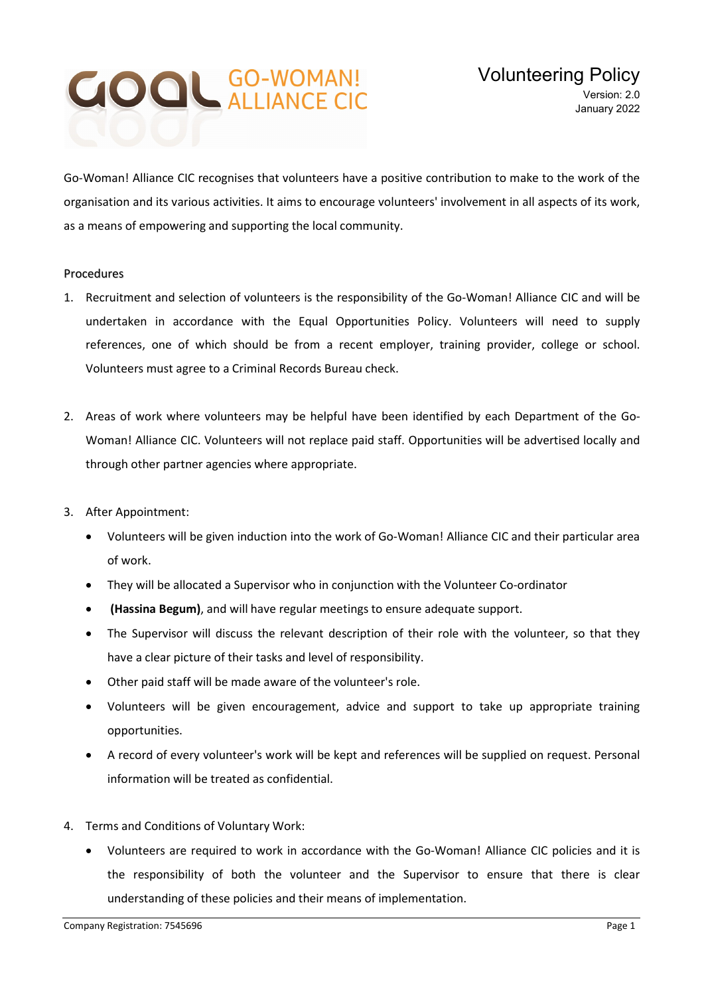## **COOL GO-WOMAN!**

Go-Woman! Alliance CIC recognises that volunteers have a positive contribution to make to the work of the organisation and its various activities. It aims to encourage volunteers' involvement in all aspects of its work, as a means of empowering and supporting the local community.

## Procedures

- 1. Recruitment and selection of volunteers is the responsibility of the Go-Woman! Alliance CIC and will be undertaken in accordance with the Equal Opportunities Policy. Volunteers will need to supply references, one of which should be from a recent employer, training provider, college or school. Volunteers must agree to a Criminal Records Bureau check.
- 2. Areas of work where volunteers may be helpful have been identified by each Department of the Go-Woman! Alliance CIC. Volunteers will not replace paid staff. Opportunities will be advertised locally and through other partner agencies where appropriate.
- 3. After Appointment:
	- Volunteers will be given induction into the work of Go-Woman! Alliance CIC and their particular area of work.
	- They will be allocated a Supervisor who in conjunction with the Volunteer Co-ordinator
	- (Hassina Begum), and will have regular meetings to ensure adequate support.
	- The Supervisor will discuss the relevant description of their role with the volunteer, so that they have a clear picture of their tasks and level of responsibility.
	- Other paid staff will be made aware of the volunteer's role.
	- Volunteers will be given encouragement, advice and support to take up appropriate training opportunities.
	- A record of every volunteer's work will be kept and references will be supplied on request. Personal information will be treated as confidential.
- 4. Terms and Conditions of Voluntary Work:
	- Volunteers are required to work in accordance with the Go-Woman! Alliance CIC policies and it is the responsibility of both the volunteer and the Supervisor to ensure that there is clear understanding of these policies and their means of implementation.